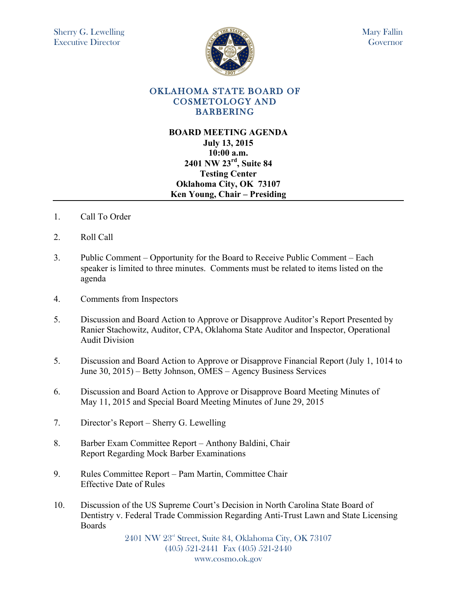

## OKLAHOMA STATE BOARD OF COSMETOLOGY AND BARBERING

## **BOARD MEETING AGENDA July 13, 2015 10:00 a.m. 2401 NW 23rd, Suite 84 Testing Center Oklahoma City, OK 73107 Ken Young, Chair – Presiding**

- 1. Call To Order
- 2. Roll Call
- 3. Public Comment Opportunity for the Board to Receive Public Comment Each speaker is limited to three minutes. Comments must be related to items listed on the agenda
- 4. Comments from Inspectors
- 5. Discussion and Board Action to Approve or Disapprove Auditor's Report Presented by Ranier Stachowitz, Auditor, CPA, Oklahoma State Auditor and Inspector, Operational Audit Division
- 5. Discussion and Board Action to Approve or Disapprove Financial Report (July 1, 1014 to June 30, 2015) – Betty Johnson, OMES – Agency Business Services
- 6. Discussion and Board Action to Approve or Disapprove Board Meeting Minutes of May 11, 2015 and Special Board Meeting Minutes of June 29, 2015
- 7. Director's Report Sherry G. Lewelling
- 8. Barber Exam Committee Report Anthony Baldini, Chair Report Regarding Mock Barber Examinations
- 9. Rules Committee Report Pam Martin, Committee Chair Effective Date of Rules
- 10. Discussion of the US Supreme Court's Decision in North Carolina State Board of Dentistry v. Federal Trade Commission Regarding Anti-Trust Lawn and State Licensing Boards

2401 NW 23rd Street, Suite 84, Oklahoma City, OK 73107 (405) 521-2441 Fax (405) 521-2440 www.cosmo.ok.gov